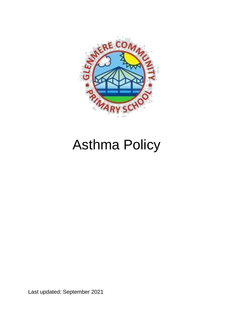

# Asthma Policy

Last updated: September 2021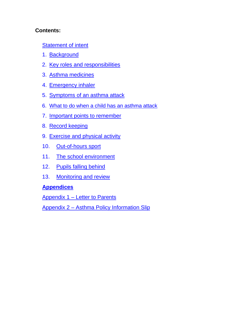### **Contents:**

[Statement of intent](#page-2-0)

- 1. [Background](#page-3-0)
- 2. [Key roles and responsibilities](#page-3-0)
- 3. [Asthma medicines](#page-8-0)
- 4. [Emergency inhaler](#page-10-0)
- 5. [Symptoms of an asthma attack](#page-12-0)
- 6. [What to do when a child has an asthma attack](#page-12-0)
- 7. [Important points to remember](#page-13-0)
- 8. [Record keeping](#page-14-0)
- 9. [Exercise and physical activity](#page-14-0)
- 10. [Out-of-hours sport](#page-14-0)
- 11. [The school environment](#page-15-0)
- 12. [Pupils falling behind](#page-15-0)
- 13. [Monitoring and review](#page-17-0)

## **Appendices**

Appendix 1 – [Letter to Parents](#page-18-0)

Appendix 2 – [Asthma Policy Information Slip](#page-19-0)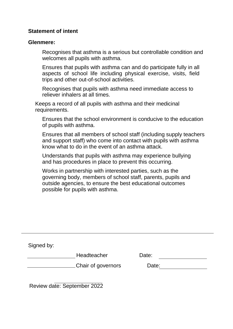#### <span id="page-2-0"></span>**Statement of intent**

#### **Glenmere:**

Recognises that asthma is a serious but controllable condition and welcomes all pupils with asthma.

Ensures that pupils with asthma can and do participate fully in all aspects of school life including physical exercise, visits, field trips and other out-of-school activities.

Recognises that pupils with asthma need immediate access to reliever inhalers at all times.

Keeps a record of all pupils with asthma and their medicinal requirements.

Ensures that the school environment is conducive to the education of pupils with asthma.

Ensures that all members of school staff (including supply teachers and support staff) who come into contact with pupils with asthma know what to do in the event of an asthma attack.

Understands that pupils with asthma may experience bullying and has procedures in place to prevent this occurring.

Works in partnership with interested parties, such as the governing body, members of school staff, parents, pupils and outside agencies, to ensure the best educational outcomes possible for pupils with asthma.

| Signed by: |                           |       |  |
|------------|---------------------------|-------|--|
|            | Headteacher               | Date: |  |
|            | <b>Chair of governors</b> | Date: |  |
|            |                           |       |  |

Review date: September 2022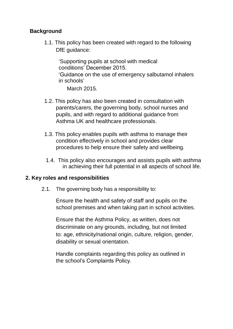#### <span id="page-3-0"></span>**Background**

1.1. This policy has been created with regard to the following DfE quidance:

'Supporting pupils at school with medical conditions' December 2015.

'Guidance on the use of emergency salbutamol inhalers in schools'

March 2015.

- 1.2. This policy has also been created in consultation with parents/carers, the governing body, school nurses and pupils, and with regard to additional guidance from Asthma UK and healthcare professionals.
- 1.3. This policy enables pupils with asthma to manage their condition effectively in school and provides clear procedures to help ensure their safety and wellbeing.
- 1.4. This policy also encourages and assists pupils with asthma in achieving their full potential in all aspects of school life.

#### **2. Key roles and responsibilities**

2.1. The governing body has a responsibility to:

Ensure the health and safety of staff and pupils on the school premises and when taking part in school activities.

Ensure that the Asthma Policy, as written, does not discriminate on any grounds, including, but not limited to: age, ethnicity/national origin, culture, religion, gender, disability or sexual orientation.

Handle complaints regarding this policy as outlined in the school's Complaints Policy.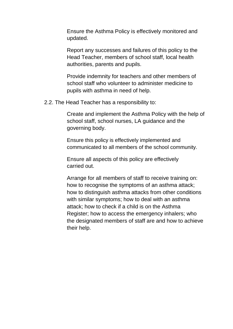Ensure the Asthma Policy is effectively monitored and updated.

Report any successes and failures of this policy to the Head Teacher, members of school staff, local health authorities, parents and pupils.

Provide indemnity for teachers and other members of school staff who volunteer to administer medicine to pupils with asthma in need of help.

2.2. The Head Teacher has a responsibility to:

Create and implement the Asthma Policy with the help of school staff, school nurses, LA guidance and the governing body.

Ensure this policy is effectively implemented and communicated to all members of the school community.

Ensure all aspects of this policy are effectively carried out.

Arrange for all members of staff to receive training on: how to recognise the symptoms of an asthma attack; how to distinguish asthma attacks from other conditions with similar symptoms; how to deal with an asthma attack; how to check if a child is on the Asthma Register; how to access the emergency inhalers; who the designated members of staff are and how to achieve their help.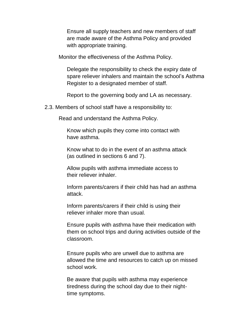Ensure all supply teachers and new members of staff are made aware of the Asthma Policy and provided with appropriate training.

Monitor the effectiveness of the Asthma Policy.

Delegate the responsibility to check the expiry date of spare reliever inhalers and maintain the school's Asthma Register to a designated member of staff.

Report to the governing body and LA as necessary.

2.3. Members of school staff have a responsibility to:

Read and understand the Asthma Policy.

Know which pupils they come into contact with have asthma.

Know what to do in the event of an asthma attack (as outlined in sections 6 and 7).

Allow pupils with asthma immediate access to their reliever inhaler.

Inform parents/carers if their child has had an asthma attack.

Inform parents/carers if their child is using their reliever inhaler more than usual.

Ensure pupils with asthma have their medication with them on school trips and during activities outside of the classroom.

Ensure pupils who are unwell due to asthma are allowed the time and resources to catch up on missed school work.

Be aware that pupils with asthma may experience tiredness during the school day due to their nighttime symptoms.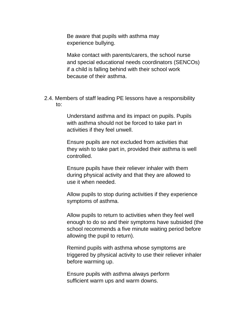Be aware that pupils with asthma may experience bullying.

Make contact with parents/carers, the school nurse and special educational needs coordinators (SENCOs) if a child is falling behind with their school work because of their asthma.

2.4. Members of staff leading PE lessons have a responsibility to:

> Understand asthma and its impact on pupils. Pupils with asthma should not be forced to take part in activities if they feel unwell.

Ensure pupils are not excluded from activities that they wish to take part in, provided their asthma is well controlled.

Ensure pupils have their reliever inhaler with them during physical activity and that they are allowed to use it when needed.

Allow pupils to stop during activities if they experience symptoms of asthma.

Allow pupils to return to activities when they feel well enough to do so and their symptoms have subsided (the school recommends a five minute waiting period before allowing the pupil to return).

Remind pupils with asthma whose symptoms are triggered by physical activity to use their reliever inhaler before warming up.

Ensure pupils with asthma always perform sufficient warm ups and warm downs.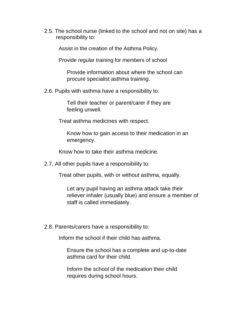2.5. The school nurse (linked to the school and not on site) has a responsibility to:

Assist in the creation of the Asthma Policy.

Provide regular training for members of school

Provide information about where the school can procure specialist asthma training.

2.6. Pupils with asthma have a responsibility to:

Tell their teacher or parent/carer if they are feeling unwell.

Treat asthma medicines with respect.

Know how to gain access to their medication in an emergency.

Know how to take their asthma medicine.

2.7. All other pupils have a responsibility to:

Treat other pupils, with or without asthma, equally.

Let any pupil having an asthma attack take their reliever inhaler (usually blue) and ensure a member of staff is called immediately.

2.8. Parents/carers have a responsibility to:

Inform the school if their child has asthma.

Ensure the school has a complete and up-to-date asthma card for their child.

Inform the school of the medication their child requires during school hours.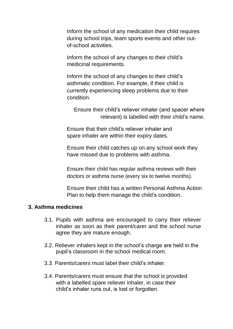<span id="page-8-0"></span>Inform the school of any medication their child requires during school trips, team sports events and other outof-school activities.

Inform the school of any changes to their child's medicinal requirements.

Inform the school of any changes to their child's asthmatic condition. For example, if their child is currently experiencing sleep problems due to their condition.

Ensure their child's reliever inhaler (and spacer where relevant) is labelled with their child's name.

Ensure that their child's reliever inhaler and spare inhaler are within their expiry dates.

Ensure their child catches up on any school work they have missed due to problems with asthma.

Ensure their child has regular asthma reviews with their doctors or asthma nurse (every six to twelve months).

Ensure their child has a written Personal Asthma Action Plan to help them manage the child's condition.

#### **3. Asthma medicines**

- 3.1. Pupils with asthma are encouraged to carry their reliever inhaler as soon as their parent/carer and the school nurse agree they are mature enough.
- 3.2. Reliever inhalers kept in the school's charge are held in the pupil's classroom in the school medical room.
- 3.3. Parents/carers must label their child's inhaler.
- 3.4. Parents/carers must ensure that the school is provided with a labelled spare reliever inhaler, in case their child's inhaler runs out, is lost or forgotten.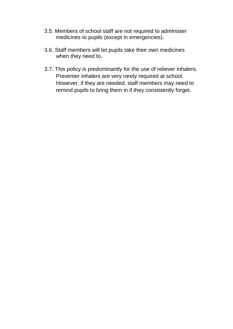- 3.5. Members of school staff are not required to administer medicines to pupils (except in emergencies).
- 3.6. Staff members will let pupils take their own medicines when they need to.
- 3.7. This policy is predominantly for the use of reliever inhalers. Preventer inhalers are very rarely required at school. However, if they are needed, staff members may need to remind pupils to bring them in if they consistently forget.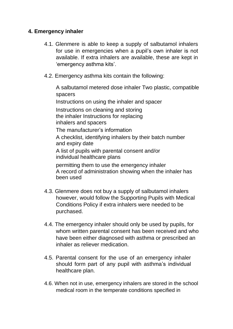#### <span id="page-10-0"></span>**4. Emergency inhaler**

- 4.1. Glenmere is able to keep a supply of salbutamol inhalers for use in emergencies when a pupil's own inhaler is not available. If extra inhalers are available, these are kept in 'emergency asthma kits'.
- 4.2. Emergency asthma kits contain the following:

A salbutamol metered dose inhaler Two plastic, compatible spacers

Instructions on using the inhaler and spacer

Instructions on cleaning and storing the inhaler Instructions for replacing inhalers and spacers

The manufacturer's information

A checklist, identifying inhalers by their batch number and expiry date

A list of pupils with parental consent and/or individual healthcare plans

permitting them to use the emergency inhaler A record of administration showing when the inhaler has been used

- 4.3. Glenmere does not buy a supply of salbutamol inhalers however, would follow the Supporting Pupils with Medical Conditions Policy if extra inhalers were needed to be purchased.
- 4.4. The emergency inhaler should only be used by pupils, for whom written parental consent has been received and who have been either diagnosed with asthma or prescribed an inhaler as reliever medication.
- 4.5. Parental consent for the use of an emergency inhaler should form part of any pupil with asthma's individual healthcare plan.
- 4.6. When not in use, emergency inhalers are stored in the school medical room in the temperate conditions specified in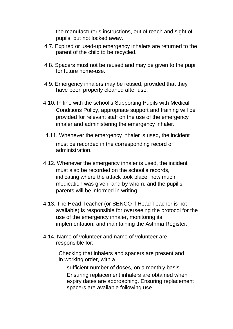the manufacturer's instructions, out of reach and sight of pupils, but not locked away.

- 4.7. Expired or used-up emergency inhalers are returned to the parent of the child to be recycled.
- 4.8. Spacers must not be reused and may be given to the pupil for future home-use.
- 4.9. Emergency inhalers may be reused, provided that they have been properly cleaned after use.
- 4.10. In line with the school's Supporting Pupils with Medical Conditions Policy, appropriate support and training will be provided for relevant staff on the use of the emergency inhaler and administering the emergency inhaler.
- 4.11. Whenever the emergency inhaler is used, the incident must be recorded in the corresponding record of administration.
- 4.12. Whenever the emergency inhaler is used, the incident must also be recorded on the school's records, indicating where the attack took place, how much medication was given, and by whom, and the pupil's parents will be informed in writing.
- 4.13. The Head Teacher (or SENCO if Head Teacher is not available) is responsible for overseeing the protocol for the use of the emergency inhaler, monitoring its implementation, and maintaining the Asthma Register.
- 4.14. Name of volunteer and name of volunteer are responsible for:

Checking that inhalers and spacers are present and in working order, with a

sufficient number of doses, on a monthly basis. Ensuring replacement inhalers are obtained when expiry dates are approaching. Ensuring replacement spacers are available following use.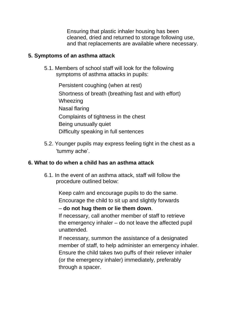Ensuring that plastic inhaler housing has been cleaned, dried and returned to storage following use, and that replacements are available where necessary.

#### <span id="page-12-0"></span>**5. Symptoms of an asthma attack**

5.1. Members of school staff will look for the following symptoms of asthma attacks in pupils:

> Persistent coughing (when at rest) Shortness of breath (breathing fast and with effort) Wheezing Nasal flaring Complaints of tightness in the chest Being unusually quiet Difficulty speaking in full sentences

5.2. Younger pupils may express feeling tight in the chest as a 'tummy ache'.

#### **6. What to do when a child has an asthma attack**

6.1. In the event of an asthma attack, staff will follow the procedure outlined below:

> Keep calm and encourage pupils to do the same. Encourage the child to sit up and slightly forwards

– **do not hug them or lie them down**.

If necessary, call another member of staff to retrieve the emergency inhaler – do not leave the affected pupil unattended.

If necessary, summon the assistance of a designated member of staff, to help administer an emergency inhaler. Ensure the child takes two puffs of their reliever inhaler (or the emergency inhaler) immediately, preferably through a spacer.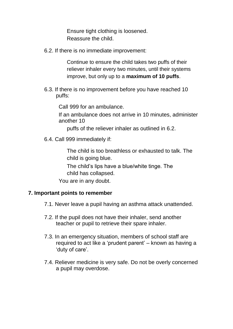Ensure tight clothing is loosened. Reassure the child.

<span id="page-13-0"></span>6.2. If there is no immediate improvement:

Continue to ensure the child takes two puffs of their reliever inhaler every two minutes, until their systems improve, but only up to a **maximum of 10 puffs**.

6.3. If there is no improvement before you have reached 10 puffs:

Call 999 for an ambulance.

If an ambulance does not arrive in 10 minutes, administer another 10

puffs of the reliever inhaler as outlined in 6.2.

6.4. Call 999 immediately if:

The child is too breathless or exhausted to talk. The child is going blue.

The child's lips have a blue/white tinge. The child has collapsed.

You are in any doubt.

#### **7. Important points to remember**

- 7.1. Never leave a pupil having an asthma attack unattended.
- 7.2. If the pupil does not have their inhaler, send another teacher or pupil to retrieve their spare inhaler.
- 7.3. In an emergency situation, members of school staff are required to act like a 'prudent parent' – known as having a 'duty of care'.
- 7.4. Reliever medicine is very safe. Do not be overly concerned a pupil may overdose.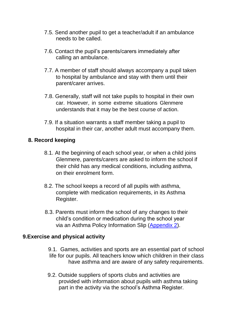- <span id="page-14-0"></span>7.5. Send another pupil to get a teacher/adult if an ambulance needs to be called.
- 7.6. Contact the pupil's parents/carers immediately after calling an ambulance.
- 7.7. A member of staff should always accompany a pupil taken to hospital by ambulance and stay with them until their parent/carer arrives.
- 7.8. Generally, staff will not take pupils to hospital in their own car. However, in some extreme situations Glenmere understands that it may be the best course of action.
- 7.9. If a situation warrants a staff member taking a pupil to hospital in their car, another adult must accompany them.

#### **8. Record keeping**

- 8.1. At the beginning of each school year, or when a child joins Glenmere, parents/carers are asked to inform the school if their child has any medical conditions, including asthma, on their enrolment form.
- 8.2. The school keeps a record of all pupils with asthma, complete with medication requirements, in its Asthma Register.
- 8.3. Parents must inform the school of any changes to their child's condition or medication during the school year via an Asthma Policy Information Slip [\(Appendix 2\)](#page-19-0).

#### **9.Exercise and physical activity**

- 9.1. Games, activities and sports are an essential part of school life for our pupils. All teachers know which children in their class have asthma and are aware of any safety requirements.
- 9.2. Outside suppliers of sports clubs and activities are provided with information about pupils with asthma taking part in the activity via the school's Asthma Register.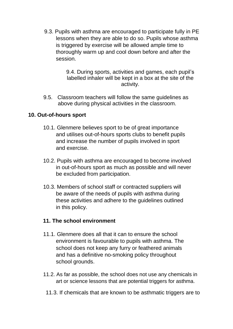<span id="page-15-0"></span>9.3. Pupils with asthma are encouraged to participate fully in PE lessons when they are able to do so. Pupils whose asthma is triggered by exercise will be allowed ample time to thoroughly warm up and cool down before and after the session.

> 9.4. During sports, activities and games, each pupil's labelled inhaler will be kept in a box at the site of the activity.

9.5. Classroom teachers will follow the same guidelines as above during physical activities in the classroom.

#### **10. Out-of-hours sport**

- 10.1. Glenmere believes sport to be of great importance and utilises out-of-hours sports clubs to benefit pupils and increase the number of pupils involved in sport and exercise.
- 10.2. Pupils with asthma are encouraged to become involved in out-of-hours sport as much as possible and will never be excluded from participation.
- 10.3. Members of school staff or contracted suppliers will be aware of the needs of pupils with asthma during these activities and adhere to the guidelines outlined in this policy.

#### **11. The school environment**

- 11.1. Glenmere does all that it can to ensure the school environment is favourable to pupils with asthma. The school does not keep any furry or feathered animals and has a definitive no-smoking policy throughout school grounds.
- 11.2. As far as possible, the school does not use any chemicals in art or science lessons that are potential triggers for asthma.
	- 11.3. If chemicals that are known to be asthmatic triggers are to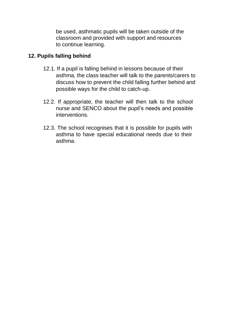be used, asthmatic pupils will be taken outside of the classroom and provided with support and resources to continue learning.

## **12. Pupils falling behind**

- 12.1. If a pupil is falling behind in lessons because of their asthma, the class teacher will talk to the parents/carers to discuss how to prevent the child falling further behind and possible ways for the child to catch-up.
- 12.2. If appropriate, the teacher will then talk to the school nurse and SENCO about the pupil's needs and possible interventions.
- 12.3. The school recognises that it is possible for pupils with asthma to have special educational needs due to their asthma.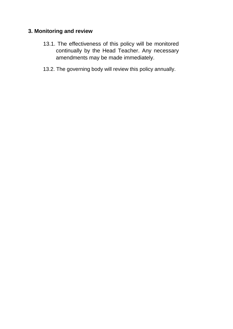## <span id="page-17-0"></span>**3. Monitoring and review**

- 13.1. The effectiveness of this policy will be monitored continually by the Head Teacher. Any necessary amendments may be made immediately.
- 13.2. The governing body will review this policy annually.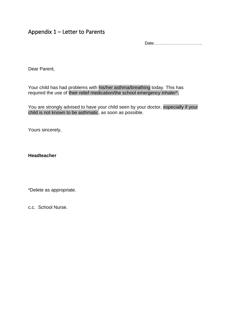## <span id="page-18-0"></span>Appendix 1 – Letter to Parents

Date:……………………………..

Dear Parent,

Your child has had problems with his/her asthma/breathing today. This has required the use of their relief medication/the school emergency inhaler\*.

You are strongly advised to have your child seen by your doctor, especially if your child is not known to be asthmatic, as soon as possible.

Yours sincerely,

**Headteacher**

\*Delete as appropriate.

c.c. School Nurse.